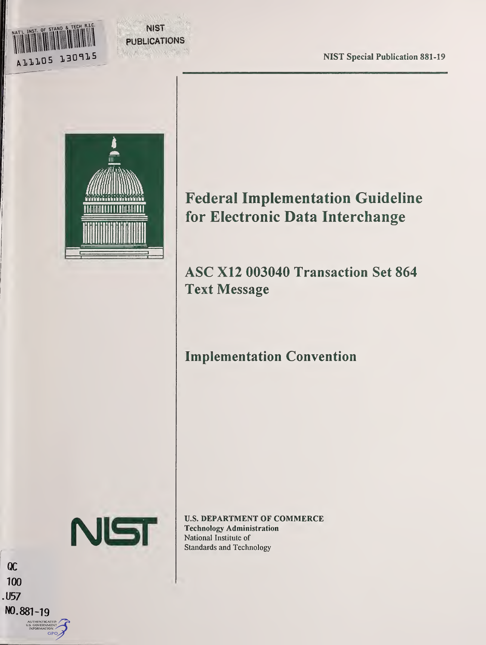



**NIST Special Publication 881-19** 



# **Federal Implementation Guideline** for Electronic Data Interchange

## ASC X12 003040 Transaction Set 864 **Text Message**

# **Implementation Convention**



**U.S. DEPARTMENT OF COMMERCE Technology Administration** National Institute of **Standards and Technology** 

 $\alpha$ 100 **.U57** NO.881-19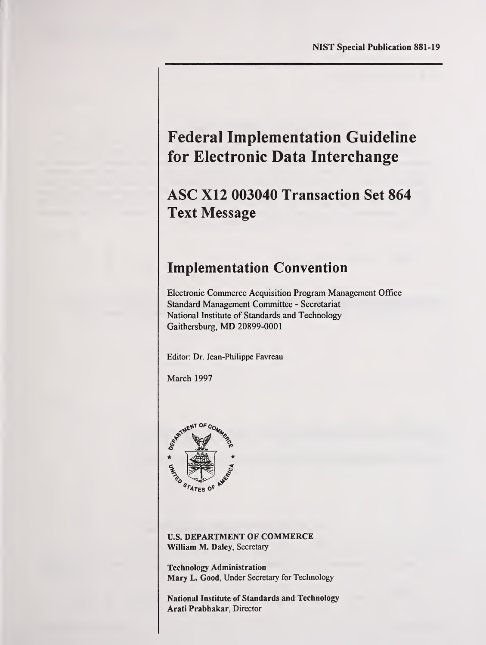## Federal Implementation Guideline for Electronic Data Interchange

ASC X12 003040 Transaction Set 864 Text Message

## Implementation Convention

Electronic Commerce Acquisition Program Management Office Standard Management Committee - Secretariat National Institute of Standards and Technology Gaithersburg, MD 20899-0001

Editor: Dr. Jean-Philippe Favreau

March 1997



U.S. DEPARTMENT OF COMMERCE William M. Daley, Secretary

Technology Administration Mary L. Good, Under Secretary for Technology

National Institute of Standards and Technology Arati Prabhakar, Director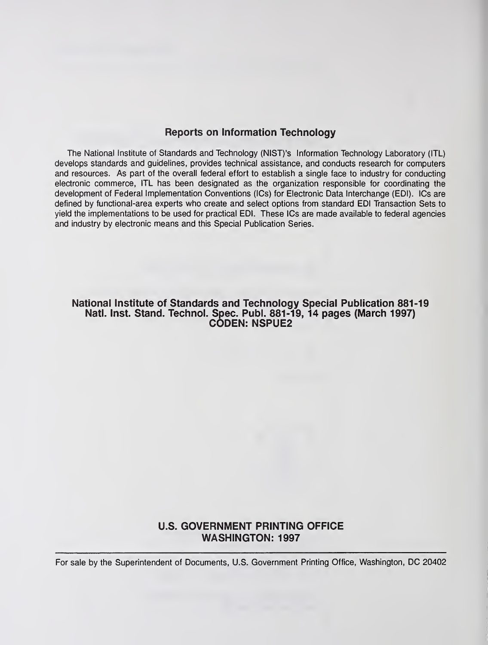#### Reports on Information Technology

The National Institute of Standards and Technology (NIST)'s Information Technology Laboratory (ITL) develops standards and guidelines, provides technical assistance, and conducts research for computers and resources. As part of the overall federal effort to establish a single face to industry for conducting electronic commerce, ITL has been designated as the organization responsible for coordinating the development of Federal Implementation Conventions (ICs) for Electronic Data Interchange (EDI). ICs are defined by functional-area experts who create and select options from standard EDI Transaction Sets to yield the implementations to be used for practical EDI. These ICs are made available to federal agencies and industry by electronic means and this Special Publication Series.

#### National Institute of Standards and Technology Special Publication 881-19 Natl. Inst. Stand. Technol. Spec. Publ. 881-19, 14 pages (March 1997) CODEN: NSPUE2

#### U.S. GOVERNMENT PRINTING OFFICE WASHINGTON: 1997

For sale by the Superintendent of Documents, U.S. Government Printing Office, Washington, DC 20402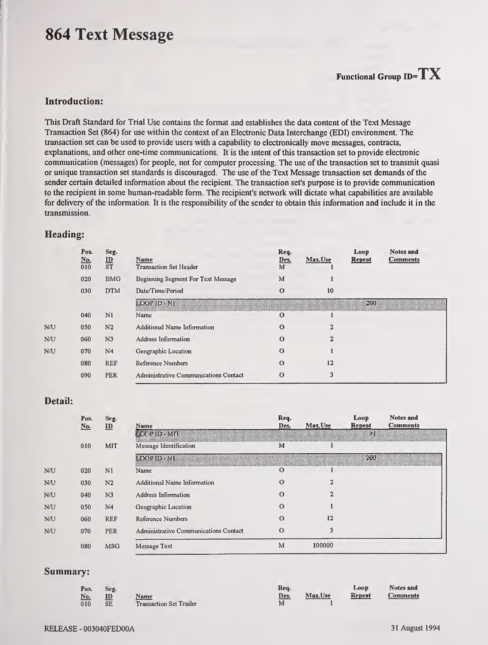## Functional Group ID= $TX$

#### Introduction:

This Draft Standard for Trial Use contains the format and establishes the data content of the Text Message Transaction Set (864) for use within the context of an Electronic Data Interchange (EDI) environment. The transaction set can be used to provide users with a capability to electronically move messages, contracts, explanations, and other one-time communications. It is the intent of this transaction set to provide electronic communication (messages) for people, not for computer processing. The use of the transaction set to transmit quasi or unique transaction set standards is discouraged. The use of the Text Message transaction set demands of the sender certain detailed information about the recipient. The transaction set's purpose is to provide communication to the recipient in some human-readable form. The recipient's network will dictate what capabilities are available for delivery of the information. It is the responsibility of the sender to obtain this information and include it in the transmission.

#### Heading:

|     | Pos.<br>$\underline{\mathbf{N}\mathbf{0}}$<br>010 | Seg.<br>$rac{ID}{ST}$ | <b>Name</b><br><b>Transaction Set Header</b> | Req.<br>Des.<br>M | Max.Use        | Loop<br><b>Repeat</b> | <b>Notes and</b><br><b>Comments</b> |
|-----|---------------------------------------------------|-----------------------|----------------------------------------------|-------------------|----------------|-----------------------|-------------------------------------|
|     | 020                                               | <b>BMG</b>            | Beginning Segment For Text Message           | M                 |                |                       |                                     |
|     | 030                                               | <b>DTM</b>            | Date/Time/Period                             | $\mathbf O$       | 10             |                       |                                     |
|     | 040                                               | N1                    | LOOP ID N1<br>Name                           | $\mathbf O$       |                | -283.                 |                                     |
| N/U | 050                                               | N <sub>2</sub>        | <b>Additional Name Information</b>           | $\Omega$          | $\overline{2}$ |                       |                                     |
| N/U | 060                                               | N <sub>3</sub>        | <b>Address Information</b>                   | $\Omega$          | $\overline{2}$ |                       |                                     |
| N/U | 070                                               | N <sub>4</sub>        | Geographic Location                          | $\Omega$          |                |                       |                                     |
|     | 080                                               | <b>REF</b>            | Reference Numbers                            | $\Omega$          | 12             |                       |                                     |
|     | 090                                               | PER                   | <b>Administrative Communications Contact</b> | $\mathbf O$       | 3              |                       |                                     |

#### Detail:

|     | Pos.<br>$\underline{\mathbf{No}}$ . | Seg.<br>$\underline{\mathbf{ID}}$ | <b>Name</b>                                      | Req.<br>Des. | Max.Use        | Loop<br><b>Repeat</b> | <b>Notes and</b><br><b>Comments</b> |
|-----|-------------------------------------|-----------------------------------|--------------------------------------------------|--------------|----------------|-----------------------|-------------------------------------|
|     | 010                                 | <b>MIT</b>                        | <b>BERTH THE STATE</b><br>Message Identification | M            |                |                       |                                     |
| N/U | 020                                 | N1                                | PORDER<br>Name                                   | O            |                | 863.                  |                                     |
| N/U | 030                                 | N <sub>2</sub>                    | <b>Additional Name Information</b>               | O            | $\overline{2}$ |                       |                                     |
| N/U | 040                                 | N <sub>3</sub>                    | Address Information                              | O            | $\overline{2}$ |                       |                                     |
| N/U | 050                                 | N <sub>4</sub>                    | Geographic Location                              | $\Omega$     |                |                       |                                     |
| N/U | 060                                 | <b>REF</b>                        | Reference Numbers                                | $\Omega$     | 12             |                       |                                     |
| N/U | 070                                 | PER                               | <b>Administrative Communications Contact</b>     | $\Omega$     | 3              |                       |                                     |
|     | 080                                 | <b>MSG</b>                        | Message Text                                     | M            | 100000         |                       |                                     |

#### Summary:

| Pos. | Seg.      |                                | Req. |         | <b>Loop</b>   | <b>Notes and</b> |
|------|-----------|--------------------------------|------|---------|---------------|------------------|
| No.  | ID        | <b>Name</b>                    | Des. | Max.Use | <b>Repeat</b> | <b>Comments</b>  |
| 010  | <b>SE</b> | <b>Transaction Set Trailer</b> | M    |         |               |                  |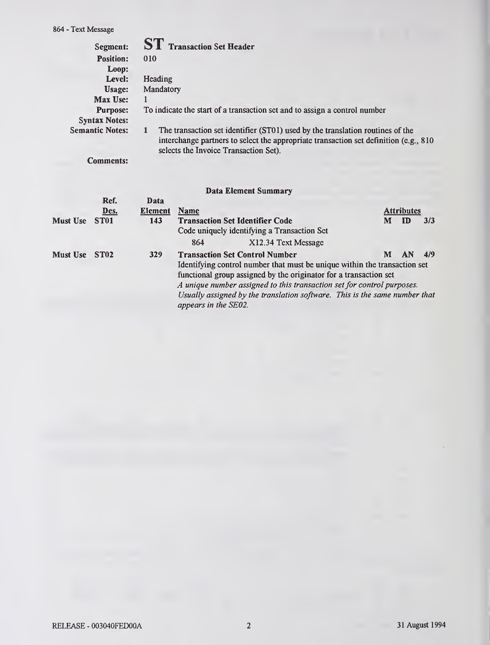| Segment:               | <b>ST</b> Transaction Set Header                                                                                                                                                                                |
|------------------------|-----------------------------------------------------------------------------------------------------------------------------------------------------------------------------------------------------------------|
| <b>Position:</b>       | 010                                                                                                                                                                                                             |
| Loop:                  |                                                                                                                                                                                                                 |
| Level:                 | Heading                                                                                                                                                                                                         |
| Usage:                 | Mandatory                                                                                                                                                                                                       |
| Max Use:               |                                                                                                                                                                                                                 |
| <b>Purpose:</b>        | To indicate the start of a transaction set and to assign a control number                                                                                                                                       |
| <b>Syntax Notes:</b>   |                                                                                                                                                                                                                 |
| <b>Semantic Notes:</b> | The transaction set identifier (ST01) used by the translation routines of the<br>interchange partners to select the appropriate transaction set definition (e.g., 810)<br>selects the Invoice Transaction Set). |

Comments:

#### Data Element Summary

|                 | Ref.             | Data           |                      |                                                                            |   |                   |     |
|-----------------|------------------|----------------|----------------------|----------------------------------------------------------------------------|---|-------------------|-----|
|                 | Des.             | <b>Element</b> | <b>Name</b>          |                                                                            |   | <b>Attributes</b> |     |
| <b>Must Use</b> | <b>ST01</b>      | 143            |                      | <b>Transaction Set Identifier Code</b>                                     | M |                   | 3/3 |
|                 |                  |                |                      | Code uniquely identifying a Transaction Set                                |   |                   |     |
|                 |                  |                | 864                  | X12.34 Text Message                                                        |   |                   |     |
| <b>Must Use</b> | ST <sub>02</sub> | 329            |                      | <b>Transaction Set Control Number</b>                                      | M | AN                | 4/9 |
|                 |                  |                |                      | Identifying control number that must be unique within the transaction set  |   |                   |     |
|                 |                  |                |                      | functional group assigned by the originator for a transaction set          |   |                   |     |
|                 |                  |                |                      | A unique number assigned to this transaction set for control purposes.     |   |                   |     |
|                 |                  |                | appears in the SE02. | Usually assigned by the translation software. This is the same number that |   |                   |     |
|                 |                  |                |                      |                                                                            |   |                   |     |

 $\bar{z}$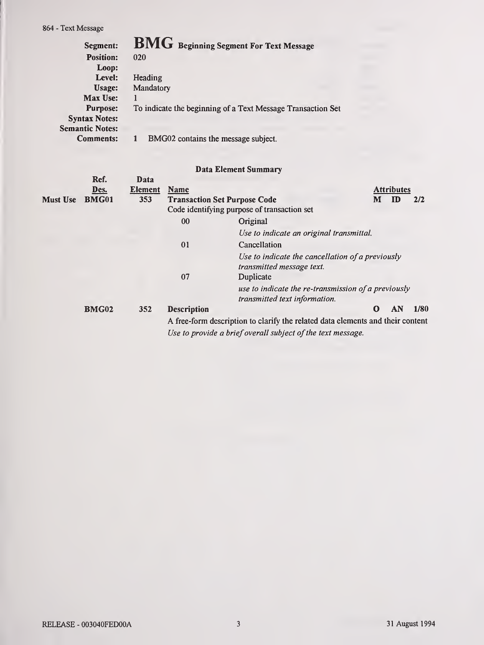| Segment:               | <b>BMG</b> Beginning Segment For Text Message               |
|------------------------|-------------------------------------------------------------|
| <b>Position:</b>       | 020                                                         |
| Loop:                  |                                                             |
| Level:                 | Heading                                                     |
| <b>Usage:</b>          | Mandatory                                                   |
| <b>Max Use:</b>        |                                                             |
| <b>Purpose:</b>        | To indicate the beginning of a Text Message Transaction Set |
| <b>Syntax Notes:</b>   |                                                             |
| <b>Semantic Notes:</b> |                                                             |
| <b>Comments:</b>       | BMG02 contains the message subject.<br>1                    |

### Data Element Summary

| <b>Must Use</b> | Ref.<br>Des.<br>BMG01 | Data<br><b>Element</b><br>353 | <b>Name</b><br><b>Transaction Set Purpose Code</b> | <b>Attributes</b><br>2/2<br>M<br>ID<br>Code identifying purpose of transaction set   |
|-----------------|-----------------------|-------------------------------|----------------------------------------------------|--------------------------------------------------------------------------------------|
|                 |                       |                               | 00 <sup>°</sup>                                    | Original                                                                             |
|                 |                       |                               |                                                    | Use to indicate an original transmittal.                                             |
|                 |                       |                               | 01                                                 | Cancellation                                                                         |
|                 |                       |                               |                                                    | Use to indicate the cancellation of a previously<br>transmitted message text.        |
|                 |                       |                               | 07                                                 | Duplicate                                                                            |
|                 |                       |                               |                                                    | use to indicate the re-transmission of a previously<br>transmitted text information. |
|                 | <b>BMG02</b>          | 352                           | <b>Description</b>                                 | 1/80<br>AN<br>O                                                                      |
|                 |                       |                               |                                                    | A free-form description to clarify the related data elements and their content       |
|                 |                       |                               |                                                    | Use to provide a brief overall subject of the text message.                          |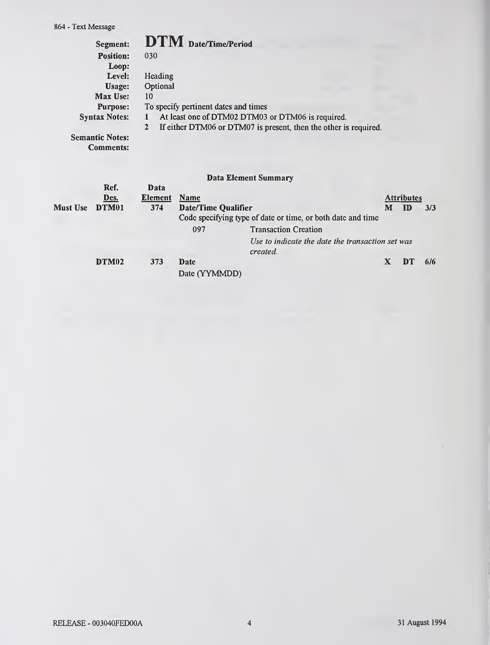| Segment:               | <b>DTM</b> Date/Time/Period                                                      |
|------------------------|----------------------------------------------------------------------------------|
| <b>Position:</b>       | 030                                                                              |
| Loop:                  |                                                                                  |
| Level:                 | Heading                                                                          |
| <b>Usage:</b>          | Optional                                                                         |
| <b>Max Use:</b>        | 10                                                                               |
| <b>Purpose:</b>        | To specify pertinent dates and times                                             |
| <b>Syntax Notes:</b>   | At least one of DTM02 DTM03 or DTM06 is required.                                |
|                        | If either DTM06 or DTM07 is present, then the other is required.<br>$\mathbf{2}$ |
| <b>Semantic Notes:</b> |                                                                                  |

Comments:

#### Data Element Summary

| <b>Must Use</b> | Ref.<br>Des.<br>DTM01 | Data<br><b>Element</b><br>374 | <b>Name</b><br><b>Date/Time Qualifier</b> | Code specifying type of date or time, or both date and time  | M | <b>Attributes</b> | 3/3 |  |
|-----------------|-----------------------|-------------------------------|-------------------------------------------|--------------------------------------------------------------|---|-------------------|-----|--|
|                 |                       |                               | 097                                       | <b>Transaction Creation</b>                                  |   |                   |     |  |
|                 |                       |                               |                                           | Use to indicate the date the transaction set was<br>created. |   |                   |     |  |
|                 | DTM02                 | 373                           | <b>Date</b><br>Date (YYMMDD)              |                                                              | X | DT                | 6/6 |  |

 $\Delta$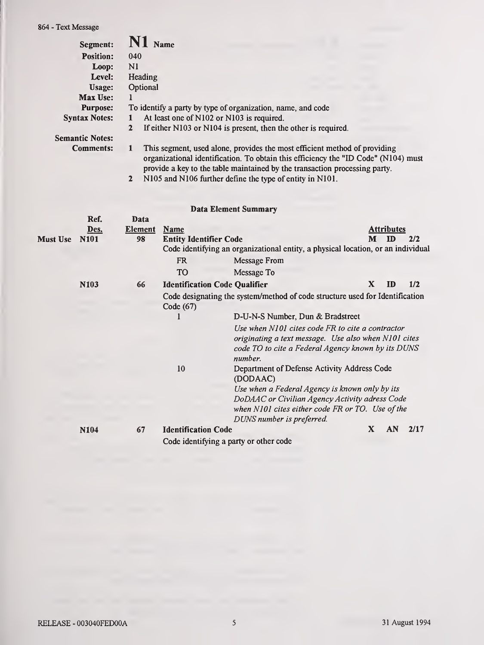|          | Segment:               | N1 Name        |                                                                                                                                               |                                                                                                                                        |   |                   |      |  |
|----------|------------------------|----------------|-----------------------------------------------------------------------------------------------------------------------------------------------|----------------------------------------------------------------------------------------------------------------------------------------|---|-------------------|------|--|
|          | <b>Position:</b>       | 040            |                                                                                                                                               |                                                                                                                                        |   |                   |      |  |
|          | N1<br>Loop:            |                |                                                                                                                                               |                                                                                                                                        |   |                   |      |  |
|          | Level:                 | Heading        |                                                                                                                                               |                                                                                                                                        |   |                   |      |  |
|          | Usage:                 | Optional       |                                                                                                                                               |                                                                                                                                        |   |                   |      |  |
|          | Max Use:               | L              |                                                                                                                                               |                                                                                                                                        |   |                   |      |  |
|          | <b>Purpose:</b>        |                |                                                                                                                                               | To identify a party by type of organization, name, and code                                                                            |   |                   |      |  |
|          | <b>Syntax Notes:</b>   | 1              |                                                                                                                                               | At least one of N102 or N103 is required.                                                                                              |   |                   |      |  |
|          |                        | $\mathbf{2}$   |                                                                                                                                               | If either N103 or N104 is present, then the other is required.                                                                         |   |                   |      |  |
|          | <b>Semantic Notes:</b> |                |                                                                                                                                               |                                                                                                                                        |   |                   |      |  |
|          | <b>Comments:</b>       | $\mathbf{1}$   |                                                                                                                                               | This segment, used alone, provides the most efficient method of providing                                                              |   |                   |      |  |
|          |                        |                |                                                                                                                                               | organizational identification. To obtain this efficiency the "ID Code" (N104) must                                                     |   |                   |      |  |
|          |                        | $\overline{2}$ |                                                                                                                                               | provide a key to the table maintained by the transaction processing party.<br>N105 and N106 further define the type of entity in N101. |   |                   |      |  |
|          |                        |                |                                                                                                                                               |                                                                                                                                        |   |                   |      |  |
|          |                        |                |                                                                                                                                               |                                                                                                                                        |   |                   |      |  |
|          |                        |                |                                                                                                                                               | <b>Data Element Summary</b>                                                                                                            |   |                   |      |  |
|          | Ref.                   | <b>Data</b>    |                                                                                                                                               |                                                                                                                                        |   |                   |      |  |
|          | Des.                   | <b>Element</b> | <b>Name</b>                                                                                                                                   |                                                                                                                                        |   | <b>Attributes</b> |      |  |
| Must Use | N <sub>10</sub> 1      | 98             | <b>Entity Identifier Code</b><br>M<br>$\mathbf{D}$<br>2/2<br>Code identifying an organizational entity, a physical location, or an individual |                                                                                                                                        |   |                   |      |  |
|          |                        |                |                                                                                                                                               |                                                                                                                                        |   |                   |      |  |
|          |                        |                | <b>FR</b>                                                                                                                                     | <b>Message From</b>                                                                                                                    |   |                   |      |  |
|          |                        |                | <b>TO</b>                                                                                                                                     | Message To                                                                                                                             |   |                   |      |  |
|          | N103                   | 66             | <b>Identification Code Qualifier</b>                                                                                                          |                                                                                                                                        | X | ID                | 1/2  |  |
|          |                        |                |                                                                                                                                               | Code designating the system/method of code structure used for Identification                                                           |   |                   |      |  |
|          |                        |                | Code $(67)$                                                                                                                                   |                                                                                                                                        |   |                   |      |  |
|          |                        |                | 1                                                                                                                                             | D-U-N-S Number, Dun & Bradstreet                                                                                                       |   |                   |      |  |
|          |                        |                |                                                                                                                                               | Use when N101 cites code FR to cite a contractor                                                                                       |   |                   |      |  |
|          |                        |                |                                                                                                                                               | originating a text message. Use also when N101 cites                                                                                   |   |                   |      |  |
|          |                        |                |                                                                                                                                               | code TO to cite a Federal Agency known by its DUNS                                                                                     |   |                   |      |  |
|          |                        |                |                                                                                                                                               | number.                                                                                                                                |   |                   |      |  |
|          |                        |                | 10                                                                                                                                            | Department of Defense Activity Address Code<br>(DODAAC)                                                                                |   |                   |      |  |
|          |                        |                |                                                                                                                                               | Use when a Federal Agency is known only by its                                                                                         |   |                   |      |  |
|          |                        |                |                                                                                                                                               | DoDAAC or Civilian Agency Activity adress Code                                                                                         |   |                   |      |  |
|          |                        |                |                                                                                                                                               | when N101 cites either code FR or TO. Use of the                                                                                       |   |                   |      |  |
|          |                        |                |                                                                                                                                               | DUNS number is preferred.                                                                                                              |   |                   |      |  |
|          | N104                   | 67             | <b>Identification Code</b>                                                                                                                    |                                                                                                                                        | X | AN                | 2/17 |  |
|          |                        |                |                                                                                                                                               | Code identifying a party or other code                                                                                                 |   |                   |      |  |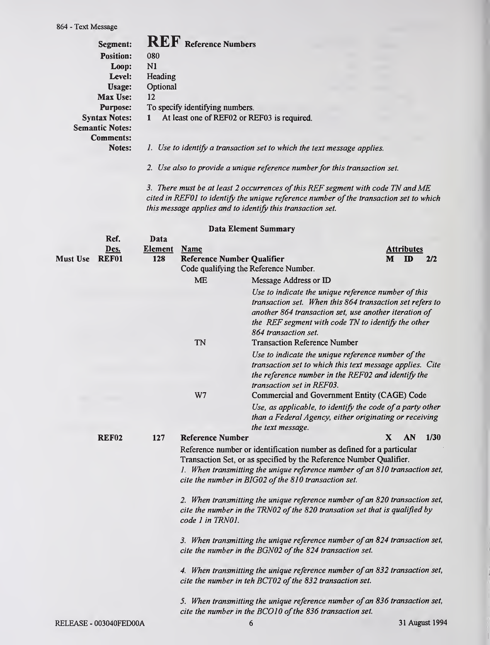| 864 - Text Message |                        |                |                                 |                                                                                                                                                                                                                                                                                               |   |                   |      |
|--------------------|------------------------|----------------|---------------------------------|-----------------------------------------------------------------------------------------------------------------------------------------------------------------------------------------------------------------------------------------------------------------------------------------------|---|-------------------|------|
|                    | Segment:               |                | <b>REF</b> Reference Numbers    |                                                                                                                                                                                                                                                                                               |   |                   |      |
|                    | <b>Position:</b>       | 080            |                                 |                                                                                                                                                                                                                                                                                               |   |                   |      |
|                    | Loop:                  | N1             |                                 |                                                                                                                                                                                                                                                                                               |   |                   |      |
|                    | Level:                 | Heading        |                                 |                                                                                                                                                                                                                                                                                               |   |                   |      |
|                    | <b>Usage:</b>          | Optional       |                                 |                                                                                                                                                                                                                                                                                               |   |                   |      |
|                    | <b>Max Use:</b>        | 12             |                                 |                                                                                                                                                                                                                                                                                               |   |                   |      |
|                    | <b>Purpose:</b>        |                | To specify identifying numbers. |                                                                                                                                                                                                                                                                                               |   |                   |      |
|                    | <b>Syntax Notes:</b>   | 1              |                                 | At least one of REF02 or REF03 is required.                                                                                                                                                                                                                                                   |   |                   |      |
|                    | <b>Semantic Notes:</b> |                |                                 |                                                                                                                                                                                                                                                                                               |   |                   |      |
|                    | <b>Comments:</b>       |                |                                 |                                                                                                                                                                                                                                                                                               |   |                   |      |
|                    | Notes:                 |                |                                 | 1. Use to identify a transaction set to which the text message applies.                                                                                                                                                                                                                       |   |                   |      |
|                    |                        |                |                                 | 2. Use also to provide a unique reference number for this transaction set.                                                                                                                                                                                                                    |   |                   |      |
|                    |                        |                |                                 | 3. There must be at least 2 occurrences of this REF segment with code TN and ME<br>cited in REF01 to identify the unique reference number of the transaction set to which<br>this message applies and to identify this transaction set.                                                       |   |                   |      |
|                    |                        |                |                                 | <b>Data Element Summary</b>                                                                                                                                                                                                                                                                   |   |                   |      |
|                    | Ref.                   | Data           |                                 |                                                                                                                                                                                                                                                                                               |   |                   |      |
|                    | Des.                   | <b>Element</b> | <b>Name</b>                     |                                                                                                                                                                                                                                                                                               |   | <b>Attributes</b> |      |
| <b>Must Use</b>    | <b>REF01</b>           | 128            |                                 | <b>Reference Number Qualifier</b><br>Code qualifying the Reference Number.                                                                                                                                                                                                                    | M | $\mathbf{D}$      | 2/2  |
|                    |                        |                | <b>ME</b>                       | Message Address or ID                                                                                                                                                                                                                                                                         |   |                   |      |
|                    |                        |                | TN                              | Use to indicate the unique reference number of this<br>transaction set. When this 864 transaction set refers to<br>another 864 transaction set, use another iteration of<br>the REF segment with code TN to identify the other<br>864 transaction set.<br><b>Transaction Reference Number</b> |   |                   |      |
|                    |                        |                |                                 | Use to indicate the unique reference number of the<br>transaction set to which this text message applies. Cite<br>the reference number in the REF02 and identify the<br>transaction set in REF03.                                                                                             |   |                   |      |
|                    |                        |                | W7                              | Commercial and Government Entity (CAGE) Code                                                                                                                                                                                                                                                  |   |                   |      |
|                    |                        |                |                                 | Use, as applicable, to identify the code of a party other<br>than a Federal Agency, either originating or receiving<br>the text message.                                                                                                                                                      |   |                   |      |
|                    | <b>REF02</b>           | 127            | <b>Reference Number</b>         |                                                                                                                                                                                                                                                                                               | X | <b>AN</b>         | 1/30 |
|                    |                        |                |                                 | Reference number or identification number as defined for a particular<br>Transaction Set, or as specified by the Reference Number Qualifier.<br>1. When transmitting the unique reference number of an 810 transaction set,<br>cite the number in BIG02 of the 810 transaction set.           |   |                   |      |
|                    |                        |                | code 1 in TRN01.                | 2. When transmitting the unique reference number of an 820 transaction set,<br>cite the number in the TRN02 of the 820 transation set that is qualified by                                                                                                                                    |   |                   |      |

3. When transmitting the unique reference number of an 824 transaction set, cite the number in the BGN02 of the 824 transaction set.

4. When transmitting the unique reference number of an 832 transaction set, cite the number in teh BCT02 of the 832 transaction set.

5. When transmitting the unique reference number of an 836 transaction set, cite the number in the  $BCO10$  of the 836 transaction set.

6 31 August 1994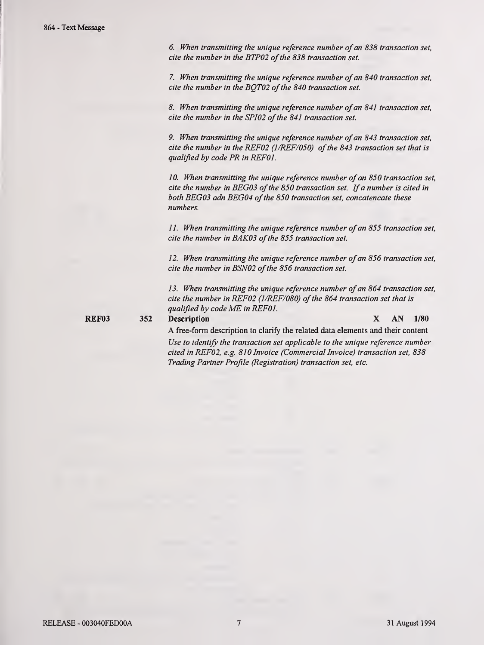6. When transmitting the unique reference number of an 838 transaction set, cite the number in the BTP02 of the 838 transaction set.

7. When transmitting the unique reference number of an 840 transaction set, cite the number in the  $BQT02$  of the 840 transaction set.

8. When transmitting the unique reference number of an 841 transaction set, cite the number in the SPI02 of the 841 transaction set.

9. When transmitting the unique reference number of an 843 transaction set, cite the number in the REF02 (1/REF/050) of the 843 transaction set that is qualified by code PR in REFOl.

10. When transmitting the unique reference number of an 850 transaction set, cite the number in BEG03 of the 850 transaction set. If a number is cited in both BEG03 adn BEG04 of the 850 transaction set, concatencate these numbers.

11. When transmitting the unique reference number of an 855 transaction set, cite the number in BAK03 of the 855 transaction set.

12. When transmitting the unique reference number of an 856 transaction set, cite the number in  $BSN02$  of the  $856$  transaction set.

13. When transmitting the unique reference number of an 864 transaction set, cite the number in REF02 (1/REF/080) of the 864 transaction set that is qualified by code ME in REFOl.

REF03 <sup>352</sup> Description X AN 1/80

A free-form description to clarify the related data elements and their content Use to identify the transaction set applicable to the unique reference number cited in REF02, e.g. 810 Invoice (Commercial Invoice) transaction set, 838 Trading Partner Profile (Registration) transaction set, etc.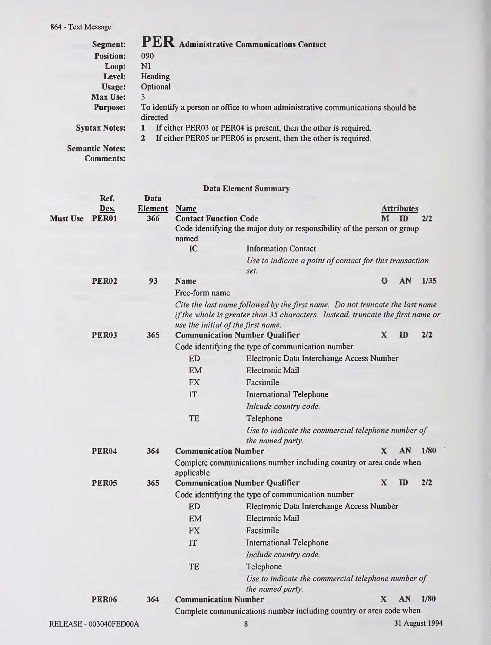| Segment:               | <b>PER</b> Administrative Communications Contact                                           |
|------------------------|--------------------------------------------------------------------------------------------|
| <b>Position:</b>       | 090                                                                                        |
| Loop:                  | N1                                                                                         |
| Level:                 | Heading                                                                                    |
| Usage:                 | Optional                                                                                   |
| <b>Max Use:</b>        | 3                                                                                          |
| <b>Purpose:</b>        | To identify a person or office to whom administrative communications should be<br>directed |
| <b>Syntax Notes:</b>   | If either PER03 or PER04 is present, then the other is required.<br>1                      |
|                        | If either PER05 or PER06 is present, then the other is required.<br>$\boldsymbol{2}$       |
| <b>Semantic Notes:</b> |                                                                                            |
| <b>Comments:</b>       |                                                                                            |

|  | <b>Data Element Summary</b> |
|--|-----------------------------|
|  |                             |

| Ref.                     | <b>Data</b>    |                              |                                                                                                                                                                                                       |              |                   |                |
|--------------------------|----------------|------------------------------|-------------------------------------------------------------------------------------------------------------------------------------------------------------------------------------------------------|--------------|-------------------|----------------|
| <u>Des.</u>              | <b>Element</b> | <b>Name</b>                  |                                                                                                                                                                                                       |              | <b>Attributes</b> |                |
| <b>Must Use</b><br>PER01 | 366            | <b>Contact Function Code</b> |                                                                                                                                                                                                       | M            | $\mathbf{D}$      | 2/2            |
|                          |                |                              | Code identifying the major duty or responsibility of the person or group                                                                                                                              |              |                   |                |
|                          |                | named<br>IC                  | <b>Information Contact</b>                                                                                                                                                                            |              |                   |                |
|                          |                |                              |                                                                                                                                                                                                       |              |                   |                |
|                          |                |                              | Use to indicate a point of contact for this transaction<br>set.                                                                                                                                       |              |                   |                |
| <b>PER02</b>             | 93             | <b>Name</b>                  |                                                                                                                                                                                                       | O            | <b>AN</b>         | 1/35           |
|                          |                | Free-form name               |                                                                                                                                                                                                       |              |                   |                |
|                          |                |                              | Cite the last name followed by the first name. Do not truncate the last name<br>if the whole is greater than 35 characters. Instead, truncate the first name or<br>use the initial of the first name. |              |                   |                |
| <b>PER03</b>             | 365            |                              | <b>Communication Number Qualifier</b>                                                                                                                                                                 | X            | $\mathbf{D}$      | 2/2            |
|                          |                |                              | Code identifying the type of communication number                                                                                                                                                     |              |                   |                |
|                          |                | <b>ED</b>                    | Electronic Data Interchange Access Number                                                                                                                                                             |              |                   |                |
|                          |                | <b>EM</b>                    | <b>Electronic Mail</b>                                                                                                                                                                                |              |                   |                |
|                          |                | <b>FX</b>                    | Facsimile                                                                                                                                                                                             |              |                   |                |
|                          |                | IT                           | <b>International Telephone</b>                                                                                                                                                                        |              |                   |                |
|                          |                |                              | Inlcude country code.                                                                                                                                                                                 |              |                   |                |
|                          |                | TE                           | Telephone                                                                                                                                                                                             |              |                   |                |
|                          |                |                              | Use to indicate the commercial telephone number of<br>the named party.                                                                                                                                |              |                   |                |
| <b>PER04</b>             | 364            | <b>Communication Number</b>  |                                                                                                                                                                                                       | $\mathbf{X}$ | AN                | 1/80           |
|                          |                | applicable                   | Complete communications number including country or area code when                                                                                                                                    |              |                   |                |
| <b>PER05</b>             | 365            |                              | <b>Communication Number Qualifier</b>                                                                                                                                                                 | X            | $\mathbf{D}$      | 2/2            |
|                          |                |                              | Code identifying the type of communication number                                                                                                                                                     |              |                   |                |
|                          |                | <b>ED</b>                    | Electronic Data Interchange Access Number                                                                                                                                                             |              |                   |                |
|                          |                | <b>EM</b>                    | <b>Electronic Mail</b>                                                                                                                                                                                |              |                   |                |
|                          |                | <b>FX</b>                    | Facsimile                                                                                                                                                                                             |              |                   |                |
|                          |                | IT                           | <b>International Telephone</b>                                                                                                                                                                        |              |                   |                |
|                          |                |                              | Include country code.                                                                                                                                                                                 |              |                   |                |
|                          |                | TE                           | Telephone                                                                                                                                                                                             |              |                   |                |
|                          |                |                              | Use to indicate the commercial telephone number of<br>the named party.                                                                                                                                |              |                   |                |
| <b>PER06</b>             | 364            | <b>Communication Number</b>  |                                                                                                                                                                                                       | $\mathbf{X}$ | <b>AN</b>         | 1/80           |
|                          |                |                              | Complete communications number including country or area code when                                                                                                                                    |              |                   |                |
| RELEASE - 003040FED00A   |                |                              | $\bf 8$                                                                                                                                                                                               |              |                   | 31 August 1994 |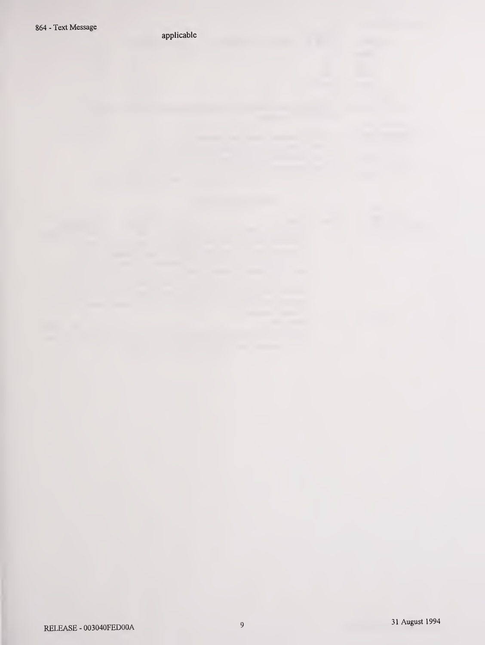applicable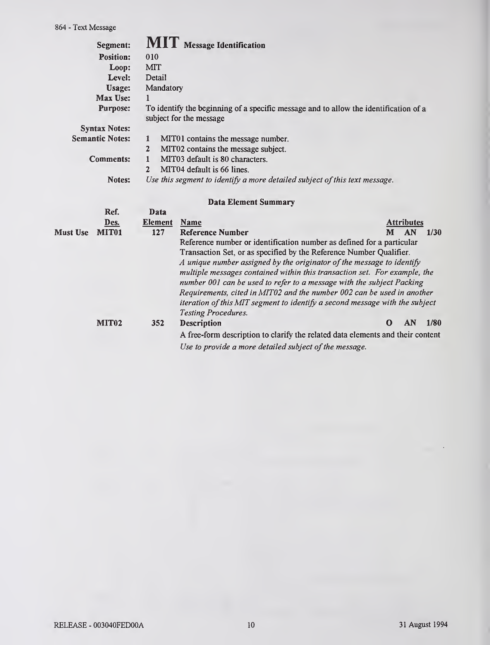|                 | Segment:               |                | MIT Message Identification                                                                                                                                                                                                                                                                                                                                                                                                                                                                                                                                         |                                  |
|-----------------|------------------------|----------------|--------------------------------------------------------------------------------------------------------------------------------------------------------------------------------------------------------------------------------------------------------------------------------------------------------------------------------------------------------------------------------------------------------------------------------------------------------------------------------------------------------------------------------------------------------------------|----------------------------------|
|                 | <b>Position:</b>       | 010            |                                                                                                                                                                                                                                                                                                                                                                                                                                                                                                                                                                    |                                  |
|                 | Loop:                  | <b>MIT</b>     |                                                                                                                                                                                                                                                                                                                                                                                                                                                                                                                                                                    |                                  |
|                 | Level:                 | Detail         |                                                                                                                                                                                                                                                                                                                                                                                                                                                                                                                                                                    |                                  |
|                 | <b>Usage:</b>          | Mandatory      |                                                                                                                                                                                                                                                                                                                                                                                                                                                                                                                                                                    |                                  |
|                 | <b>Max Use:</b>        |                |                                                                                                                                                                                                                                                                                                                                                                                                                                                                                                                                                                    |                                  |
|                 | <b>Purpose:</b>        |                | To identify the beginning of a specific message and to allow the identification of a<br>subject for the message                                                                                                                                                                                                                                                                                                                                                                                                                                                    |                                  |
|                 | <b>Syntax Notes:</b>   |                |                                                                                                                                                                                                                                                                                                                                                                                                                                                                                                                                                                    |                                  |
|                 | <b>Semantic Notes:</b> | 1              | MIT01 contains the message number.                                                                                                                                                                                                                                                                                                                                                                                                                                                                                                                                 |                                  |
|                 |                        | 2              | MIT02 contains the message subject.                                                                                                                                                                                                                                                                                                                                                                                                                                                                                                                                |                                  |
|                 | <b>Comments:</b>       | 1              | MIT03 default is 80 characters.                                                                                                                                                                                                                                                                                                                                                                                                                                                                                                                                    |                                  |
|                 |                        | $\mathbf{2}$   | MIT04 default is 66 lines.                                                                                                                                                                                                                                                                                                                                                                                                                                                                                                                                         |                                  |
|                 | Notes:                 |                | Use this segment to identify a more detailed subject of this text message.                                                                                                                                                                                                                                                                                                                                                                                                                                                                                         |                                  |
|                 |                        |                | <b>Data Element Summary</b>                                                                                                                                                                                                                                                                                                                                                                                                                                                                                                                                        |                                  |
|                 | Ref.                   | Data           |                                                                                                                                                                                                                                                                                                                                                                                                                                                                                                                                                                    |                                  |
|                 | Des.                   | <b>Element</b> | Name                                                                                                                                                                                                                                                                                                                                                                                                                                                                                                                                                               | <b>Attributes</b>                |
| <b>Must Use</b> | MIT <sub>01</sub>      | 127            | <b>Reference Number</b>                                                                                                                                                                                                                                                                                                                                                                                                                                                                                                                                            | M<br>AN<br>1/30                  |
|                 |                        |                | Reference number or identification number as defined for a particular<br>Transaction Set, or as specified by the Reference Number Qualifier.<br>A unique number assigned by the originator of the message to identify<br>multiple messages contained within this transaction set. For example, the<br>number 001 can be used to refer to a message with the subject Packing<br>Requirements, cited in MIT02 and the number 002 can be used in another<br>iteration of this MIT segment to identify a second message with the subject<br><b>Testing Procedures.</b> |                                  |
|                 | MIT <sub>02</sub>      | 352            | <b>Description</b>                                                                                                                                                                                                                                                                                                                                                                                                                                                                                                                                                 | $\mathbf 0$<br>AN<br><b>1/80</b> |
|                 |                        |                | A free-form description to clarify the related data elements and their content                                                                                                                                                                                                                                                                                                                                                                                                                                                                                     |                                  |
|                 |                        |                | Use to provide a more detailed subject of the message.                                                                                                                                                                                                                                                                                                                                                                                                                                                                                                             |                                  |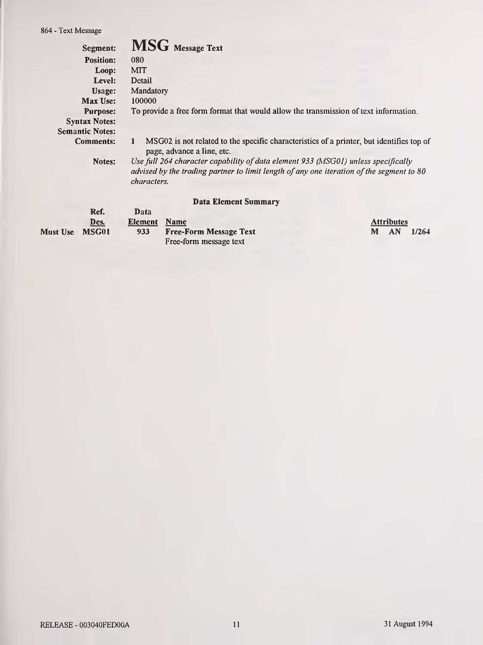| Segment:               |                | MSG Message Text                                                                                                                                                              |                   |
|------------------------|----------------|-------------------------------------------------------------------------------------------------------------------------------------------------------------------------------|-------------------|
| <b>Position:</b>       | 080            |                                                                                                                                                                               |                   |
| Loop:                  | <b>MIT</b>     |                                                                                                                                                                               |                   |
| Level:                 | Detail         |                                                                                                                                                                               |                   |
| Usage:                 | Mandatory      |                                                                                                                                                                               |                   |
| <b>Max Use:</b>        | 100000         |                                                                                                                                                                               |                   |
| <b>Purpose:</b>        |                | To provide a free form format that would allow the transmission of text information.                                                                                          |                   |
| <b>Syntax Notes:</b>   |                |                                                                                                                                                                               |                   |
| <b>Semantic Notes:</b> |                |                                                                                                                                                                               |                   |
| <b>Comments:</b>       | 1              | MSG02 is not related to the specific characteristics of a printer, but identifies top of<br>page, advance a line, etc.                                                        |                   |
| Notes:                 | characters.    | Use full 264 character capability of data element 933 (MSG01) unless specifically<br>advised by the trading partner to limit length of any one iteration of the segment to 80 |                   |
|                        |                | <b>Data Element Summary</b>                                                                                                                                                   |                   |
| Ref.                   | Data           |                                                                                                                                                                               |                   |
| Des.                   | <b>Element</b> | <b>Name</b>                                                                                                                                                                   | <b>Attributes</b> |
| MSG01<br>Must Use      | 933            | <b>Free-Form Message Text</b><br>Free-form message text                                                                                                                       | AN<br>M<br>1/264  |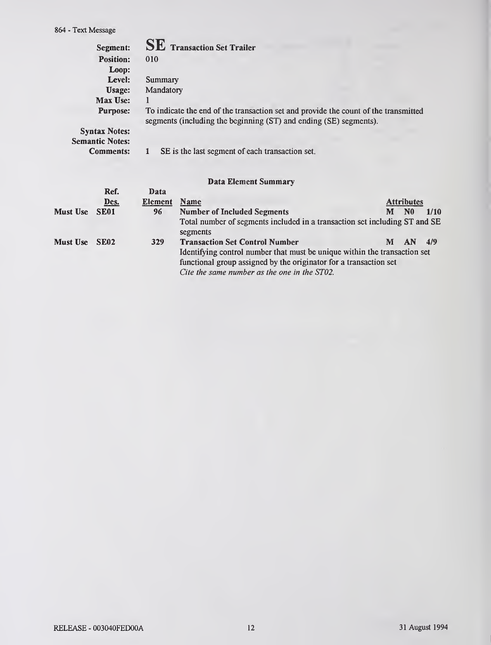|                 | Segment:               | <b>SE</b> | <b>Transaction Set Trailer</b>                                                                                                                           |                   |             |
|-----------------|------------------------|-----------|----------------------------------------------------------------------------------------------------------------------------------------------------------|-------------------|-------------|
|                 | <b>Position:</b>       | 010       |                                                                                                                                                          |                   |             |
|                 | Loop:                  |           |                                                                                                                                                          |                   |             |
|                 | Level:                 | Summary   |                                                                                                                                                          |                   |             |
|                 | <b>Usage:</b>          | Mandatory |                                                                                                                                                          |                   |             |
|                 | <b>Max Use:</b>        | -1        |                                                                                                                                                          |                   |             |
|                 | <b>Purpose:</b>        |           | To indicate the end of the transaction set and provide the count of the transmitted<br>segments (including the beginning (ST) and ending (SE) segments). |                   |             |
|                 | <b>Syntax Notes:</b>   |           |                                                                                                                                                          |                   |             |
|                 | <b>Semantic Notes:</b> |           |                                                                                                                                                          |                   |             |
|                 | <b>Comments:</b>       | 1         | SE is the last segment of each transaction set.                                                                                                          |                   |             |
|                 |                        |           |                                                                                                                                                          |                   |             |
|                 |                        |           | <b>Data Element Summary</b>                                                                                                                              |                   |             |
|                 | Ref.                   | Data      |                                                                                                                                                          |                   |             |
|                 | Des.                   | Element   | Name                                                                                                                                                     | <b>Attributes</b> |             |
| <b>Must Use</b> | <b>SE01</b>            | 96        | <b>Number of Included Segments</b><br>M                                                                                                                  | N <sub>0</sub>    | <b>1/10</b> |
|                 |                        |           | Total number of segments included in a transaction set including ST and SE<br>segments                                                                   |                   |             |
| <b>Must Use</b> | <b>SE02</b>            | 329       | <b>Transaction Set Control Number</b><br>M                                                                                                               | AN                | 4/9         |
|                 |                        |           | Identifying control number that must be unique within the transaction set<br>functional group assigned by the originator for a transaction set           |                   |             |

Cite the same number as the one in the ST02.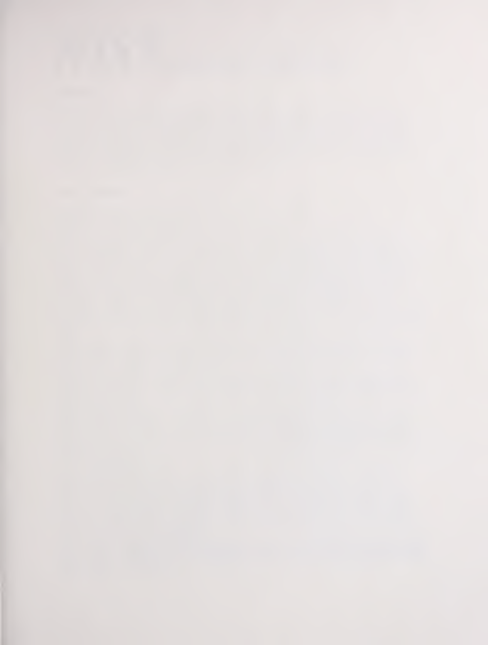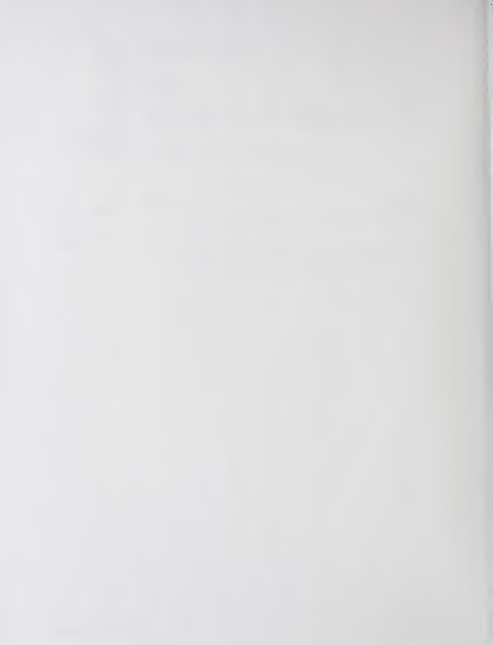f,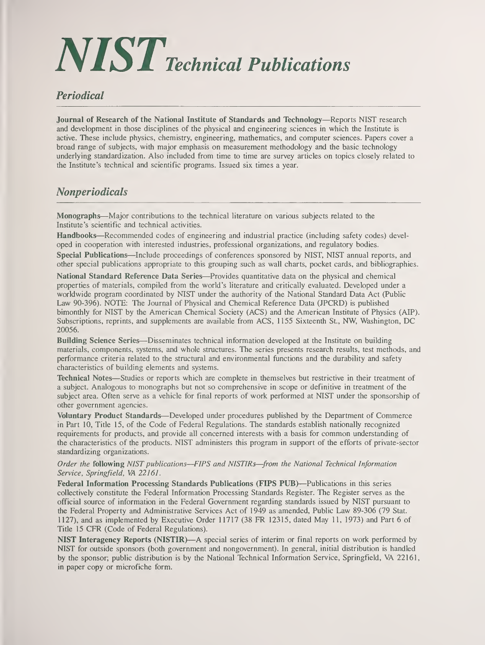# NIST Technical Publications

## Periodical

Journal of Research of the National Institute of Standards and Technology—Reports NIST research and development in those disciplines of the physical and engineering sciences in which the Institute is active. These include physics, chemistry, engineering, mathematics, and computer sciences. Papers cover a broad range of subjects, with major emphasis on measurement methodology and the basic technology underlying standardization. Also included from time to time are survey articles on topics closely related to the Institute's technical and scientific programs. Issued six times a year.

#### Nonperiodicals

Monographs—Major contributions to the technical literature on various subjects related to the Institute's scientific and technical activities.

Handbooks—Recommended codes of engineering and industrial practice (including safety codes) developed in cooperation with interested industries, professional organizations, and regulatory bodies.

Special Publications—Include proceedings of conferences sponsored by NIST, NIST annual reports, and other special publications appropriate to this grouping such as wall charts, pocket cards, and bibliographies.

National Standard Reference Data Series—Provides quantitative data on the physical and chemical properties of materials, compiled from the world's literature and critically evaluated. Developed under a worldwide program coordinated by NIST under the authority of the National Standard Data Act (Public Law 90-396). NOTE: The Journal of Physical and Chemical Reference Data (JPCRD) is published bimonthly for NIST by the American Chemical Society (ACS) and the American Institute of Physics (AIP). Subscriptions, reprints, and supplements are available from ACS, <sup>1155</sup> Sixteenth St., NW, Washington, DC 20056.

Building Science Series—Disseminates technical information developed at the Institute on building materials, components, systems, and whole structures. The series presents research results, test methods, and performance criteria related to the structural and environmental functions and the durability and safety characteristics of building elements and systems.

Technical Notes—Studies or reports which are complete in themselves but restrictive in their treatment of a subject. Analogous to monographs but not so comprehensive in scope or definitive in treatment of the subject area. Often serve as a vehicle for final reports of work performed at NIST under the sponsorship of other government agencies.

Voluntary Product Standards—Developed under procedures published by the Department of Commerce in Part 10, Title 15, of the Code of Federal Regulations. The standards establish nationally recognized requirements for products, and provide all concerned interests with a basis for common understanding of the characteristics of the products. NIST administers this program in support of the efforts of private-sector standardizing organizations.

#### Order the following NIST publications—FIPS and NISTIRs—from the National Technical Information Service, Springfield, VA 22161.

Federal Information Processing Standards Publications (FIPS PUB)—Publications in this series collectively constitute the Federal Information Processing Standards Register. The Register serves as the official source of information in the Federal Government regarding standards issued by NIST pursuant to the Federal Property and Administrative Services Act of 1949 as amended. Public Law 89-306 (79 Stat. 1127), and as implemented by Executive Order 11717 (38 FR 12315, dated May 11, 1973) and Part 6 of Title <sup>15</sup> CFR (Code of Federal Regulations).

NIST Interagency Reports (NISTIR)—<sup>A</sup> special series of interim or final reports on work performed by NIST for outside sponsors (both government and nongovernment). In general, initial distribution is handled by the sponsor; public distribution is by the National Technical Information Service, Springfield, VA 22161, in paper copy or microfiche form.